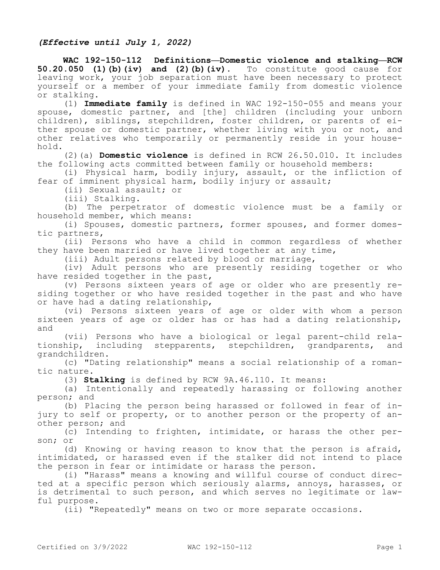## *(Effective until July 1, 2022)*

**WAC 192-150-112 Definitions—Domestic violence and stalking—RCW 50.20.050 (1)(b)(iv) and (2)(b)(iv).** To constitute good cause for leaving work, your job separation must have been necessary to protect yourself or a member of your immediate family from domestic violence or stalking.

(1) **Immediate family** is defined in WAC 192-150-055 and means your spouse, domestic partner, and [the] children (including your unborn children), siblings, stepchildren, foster children, or parents of either spouse or domestic partner, whether living with you or not, and other relatives who temporarily or permanently reside in your household.

(2)(a) **Domestic violence** is defined in RCW 26.50.010. It includes the following acts committed between family or household members:

(i) Physical harm, bodily injury, assault, or the infliction of fear of imminent physical harm, bodily injury or assault;

(ii) Sexual assault; or

(iii) Stalking.

(b) The perpetrator of domestic violence must be a family or household member, which means:

(i) Spouses, domestic partners, former spouses, and former domestic partners,

(ii) Persons who have a child in common regardless of whether they have been married or have lived together at any time,

(iii) Adult persons related by blood or marriage,

(iv) Adult persons who are presently residing together or who have resided together in the past,

(v) Persons sixteen years of age or older who are presently residing together or who have resided together in the past and who have or have had a dating relationship,

(vi) Persons sixteen years of age or older with whom a person sixteen years of age or older has or has had a dating relationship, and

(vii) Persons who have a biological or legal parent-child relationship, including stepparents, stepchildren, grandparents, and grandchildren.

(c) "Dating relationship" means a social relationship of a romantic nature.

(3) **Stalking** is defined by RCW 9A.46.110. It means:

(a) Intentionally and repeatedly harassing or following another person; and

(b) Placing the person being harassed or followed in fear of injury to self or property, or to another person or the property of another person; and

(c) Intending to frighten, intimidate, or harass the other person; or

(d) Knowing or having reason to know that the person is afraid, intimidated, or harassed even if the stalker did not intend to place the person in fear or intimidate or harass the person.

(i) "Harass" means a knowing and willful course of conduct directed at a specific person which seriously alarms, annoys, harasses, or is detrimental to such person, and which serves no legitimate or lawful purpose.

(ii) "Repeatedly" means on two or more separate occasions.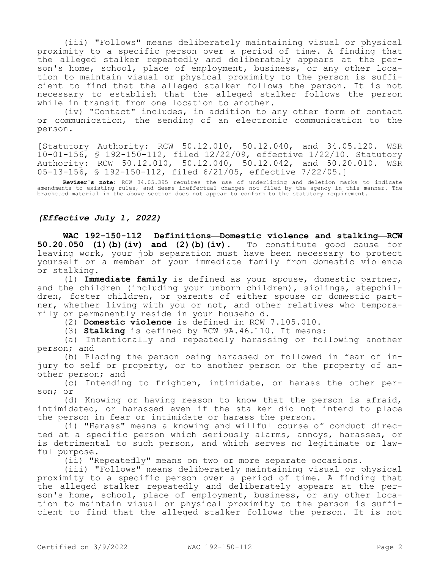(iii) "Follows" means deliberately maintaining visual or physical proximity to a specific person over a period of time. A finding that the alleged stalker repeatedly and deliberately appears at the person's home, school, place of employment, business, or any other location to maintain visual or physical proximity to the person is sufficient to find that the alleged stalker follows the person. It is not necessary to establish that the alleged stalker follows the person while in transit from one location to another.

(iv) "Contact" includes, in addition to any other form of contact or communication, the sending of an electronic communication to the person.

[Statutory Authority: RCW 50.12.010, 50.12.040, and 34.05.120. WSR 10-01-156, § 192-150-112, filed 12/22/09, effective 1/22/10. Statutory Authority: RCW 50.12.010, 50.12.040, 50.12.042, and 50.20.010. WSR 05-13-156, § 192-150-112, filed 6/21/05, effective 7/22/05.]

**Reviser's note:** RCW 34.05.395 requires the use of underlining and deletion marks to indicate amendments to existing rules, and deems ineffectual changes not filed by the agency in this manner. The bracketed material in the above section does not appear to conform to the statutory requirement.

## *(Effective July 1, 2022)*

**WAC 192-150-112 Definitions—Domestic violence and stalking—RCW 50.20.050 (1)(b)(iv) and (2)(b)(iv).** To constitute good cause for leaving work, your job separation must have been necessary to protect yourself or a member of your immediate family from domestic violence or stalking.

(1) **Immediate family** is defined as your spouse, domestic partner, and the children (including your unborn children), siblings, stepchildren, foster children, or parents of either spouse or domestic partner, whether living with you or not, and other relatives who temporarily or permanently reside in your household.

(2) **Domestic violence** is defined in RCW 7.105.010.

(3) **Stalking** is defined by RCW 9A.46.110. It means:

(a) Intentionally and repeatedly harassing or following another person; and

(b) Placing the person being harassed or followed in fear of injury to self or property, or to another person or the property of another person; and

(c) Intending to frighten, intimidate, or harass the other person; or

(d) Knowing or having reason to know that the person is afraid, intimidated, or harassed even if the stalker did not intend to place the person in fear or intimidate or harass the person.

(i) "Harass" means a knowing and willful course of conduct directed at a specific person which seriously alarms, annoys, harasses, or is detrimental to such person, and which serves no legitimate or lawful purpose.

(ii) "Repeatedly" means on two or more separate occasions.

(iii) "Follows" means deliberately maintaining visual or physical proximity to a specific person over a period of time. A finding that the alleged stalker repeatedly and deliberately appears at the person's home, school, place of employment, business, or any other location to maintain visual or physical proximity to the person is sufficient to find that the alleged stalker follows the person. It is not